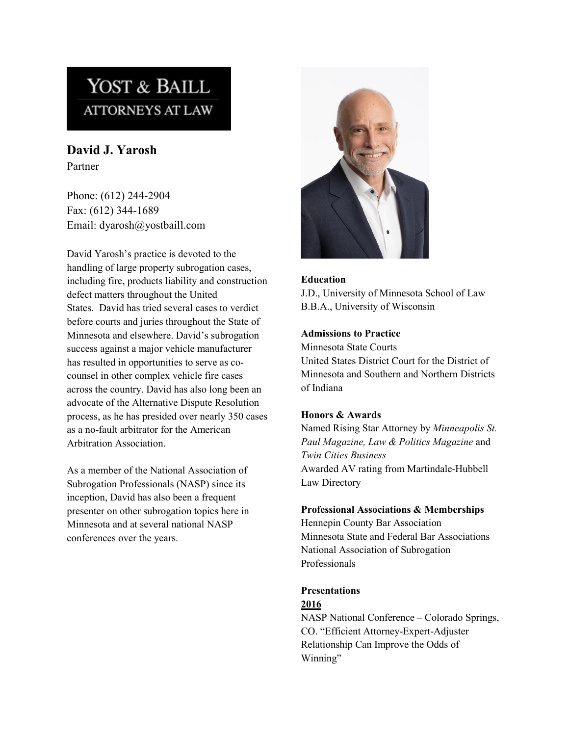# YOST & BAILL **ATTORNEYS AT LAW**

**David J. Yarosh** Partner

Phone: (612) 244-2904 Fax: (612) 344-1689 Email: dyarosh@yostbaill.com

David Yarosh's practice is devoted to the handling of large property subrogation cases, including fire, products liability and construction defect matters throughout the United States. David has tried several cases to verdict before courts and juries throughout the State of Minnesota and elsewhere. David's subrogation success against a major vehicle manufacturer has resulted in opportunities to serve as cocounsel in other complex vehicle fire cases across the country. David has also long been an advocate of the Alternative Dispute Resolution process, as he has presided over nearly 350 cases as a no-fault arbitrator for the American Arbitration Association.

As a member of the National Association of Subrogation Professionals (NASP) since its inception, David has also been a frequent presenter on other subrogation topics here in Minnesota and at several national NASP conferences over the years.



#### **Education**

J.D., University of Minnesota School of Law B.B.A., University of Wisconsin

### **Admissions to Practice**

Minnesota State Courts United States District Court for the District of Minnesota and Southern and Northern Districts of Indiana

### **Honors & Awards**

Named Rising Star Attorney by *Minneapolis St. Paul Magazine, Law & Politics Magazine* and *Twin Cities Business* Awarded AV rating from Martindale-Hubbell Law Directory

#### **Professional Associations & Memberships**

Hennepin County Bar Association Minnesota State and Federal Bar Associations National Association of Subrogation Professionals

# **Presentations**

#### **2016**

NASP National Conference – Colorado Springs, CO. "Efficient Attorney-Expert-Adjuster Relationship Can Improve the Odds of Winning"